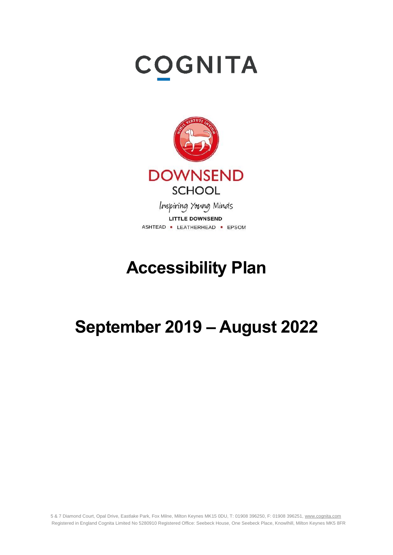# **COGNITA**



Inspiring Young Minds **LITTLE DOWNSEND** ASHTEAD . LEATHERHEAD . EPSOM

# **Accessibility Plan**

# **September 2019 – August 2022**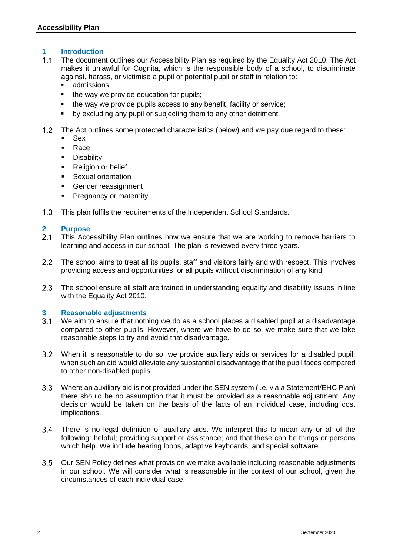### **1 Introduction**

- $1.1$ The document outlines our Accessibility Plan as required by the Equality Act 2010. The Act makes it unlawful for Cognita, which is the responsible body of a school, to discriminate against, harass, or victimise a pupil or potential pupil or staff in relation to:
	- admissions:
	- the way we provide education for pupils;
	- the way we provide pupils access to any benefit, facility or service;
	- by excluding any pupil or subjecting them to any other detriment.
- The Act outlines some protected characteristics (below) and we pay due regard to these:
	- Sex
	- Race
	- **•** Disability
	- **Religion or belief**
	- **EXALLER** Sexual orientation
	- Gender reassignment
	- **•** Pregnancy or maternity
- $1.3$ This plan fulfils the requirements of the Independent School Standards.

#### **2 Purpose**

- $2.1$ This Accessibility Plan outlines how we ensure that we are working to remove barriers to learning and access in our school. The plan is reviewed every three years.
- $2.2$ The school aims to treat all its pupils, staff and visitors fairly and with respect. This involves providing access and opportunities for all pupils without discrimination of any kind
- $2.3$ The school ensure all staff are trained in understanding equality and disability issues in line with the Equality Act 2010.

#### **3 Reasonable adjustments**

- $3.1$ We aim to ensure that nothing we do as a school places a disabled pupil at a disadvantage compared to other pupils. However, where we have to do so, we make sure that we take reasonable steps to try and avoid that disadvantage.
- When it is reasonable to do so, we provide auxiliary aids or services for a disabled pupil,  $3.2$ when such an aid would alleviate any substantial disadvantage that the pupil faces compared to other non-disabled pupils.
- $3.3$ Where an auxiliary aid is not provided under the SEN system (i.e. via a Statement/EHC Plan) there should be no assumption that it must be provided as a reasonable adjustment. Any decision would be taken on the basis of the facts of an individual case, including cost implications.
- $3.4$ There is no legal definition of auxiliary aids. We interpret this to mean any or all of the following: helpful; providing support or assistance; and that these can be things or persons which help. We include hearing loops, adaptive keyboards, and special software.
- $3.5$ Our SEN Policy defines what provision we make available including reasonable adjustments in our school. We will consider what is reasonable in the context of our school, given the circumstances of each individual case.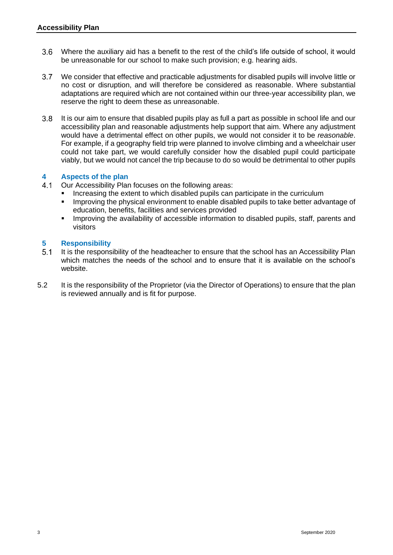- $3.6<sub>2</sub>$ Where the auxiliary aid has a benefit to the rest of the child's life outside of school, it would be unreasonable for our school to make such provision; e.g. hearing aids.
- $3.7$ We consider that effective and practicable adjustments for disabled pupils will involve little or no cost or disruption, and will therefore be considered as reasonable. Where substantial adaptations are required which are not contained within our three-year accessibility plan, we reserve the right to deem these as unreasonable.
- $3.8<sup>°</sup>$ It is our aim to ensure that disabled pupils play as full a part as possible in school life and our accessibility plan and reasonable adjustments help support that aim. Where any adjustment would have a detrimental effect on other pupils, we would not consider it to be *reasonable*. For example, if a geography field trip were planned to involve climbing and a wheelchair user could not take part, we would carefully consider how the disabled pupil could participate viably, but we would not cancel the trip because to do so would be detrimental to other pupils

### **4 Aspects of the plan**

- $4.1$ Our Accessibility Plan focuses on the following areas:
	- Increasing the extent to which disabled pupils can participate in the curriculum
	- **■** Improving the physical environment to enable disabled pupils to take better advantage of education, benefits, facilities and services provided
	- Improving the availability of accessible information to disabled pupils, staff, parents and visitors

## **5 Responsibility**

- $5.1$ It is the responsibility of the headteacher to ensure that the school has an Accessibility Plan which matches the needs of the school and to ensure that it is available on the school's website.
- 5.2 It is the responsibility of the Proprietor (via the Director of Operations) to ensure that the plan is reviewed annually and is fit for purpose.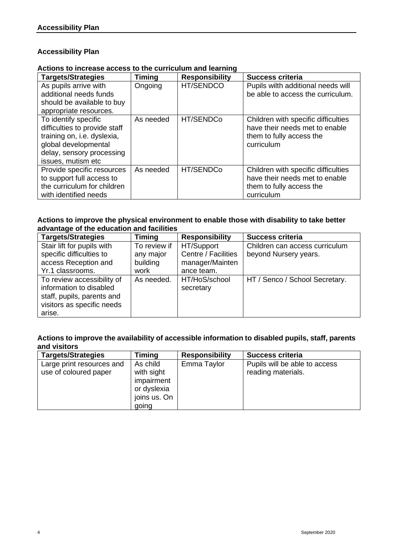### **Accessibility Plan**

**Actions to increase access to the curriculum and learning**

| <b>Targets/Strategies</b>                                                                                                                                       | <b>Timing</b> | <b>Responsibility</b> | <b>Success criteria</b>                                                                                         |
|-----------------------------------------------------------------------------------------------------------------------------------------------------------------|---------------|-----------------------|-----------------------------------------------------------------------------------------------------------------|
| As pupils arrive with<br>additional needs funds<br>should be available to buy<br>appropriate resources.                                                         | Ongoing       | HT/SENDCO             | Pupils wilth additional needs will<br>be able to access the curriculum.                                         |
| To identify specific<br>difficulties to provide staff<br>training on, i.e. dyslexia,<br>global developmental<br>delay, sensory processing<br>issues, mutism etc | As needed     | HT/SENDCo             | Children with specific difficulties<br>have their needs met to enable<br>them to fully access the<br>curriculum |
| Provide specific resources<br>to support full access to<br>the curriculum for children<br>with identified needs                                                 | As needed     | HT/SENDCo             | Children with specific difficulties<br>have their needs met to enable<br>them to fully access the<br>curriculum |

#### **Actions to improve the physical environment to enable those with disability to take better advantage of the education and facilities**

| <b>Targets/Strategies</b>  | <b>Timing</b> | <b>Responsibility</b> | <b>Success criteria</b>        |
|----------------------------|---------------|-----------------------|--------------------------------|
| Stair lift for pupils with | To review if  | HT/Support            | Children can access curriculum |
| specific difficulties to   | any major     | Centre / Facilities   | beyond Nursery years.          |
| access Reception and       | building      | manager/Mainten       |                                |
| Yr.1 classrooms.           | work          | ance team.            |                                |
| To review accessibility of | As needed.    | HT/HoS/school         | HT / Senco / School Secretary. |
| information to disabled    |               | secretary             |                                |
| staff, pupils, parents and |               |                       |                                |
| visitors as specific needs |               |                       |                                |
| arise.                     |               |                       |                                |

### **Actions to improve the availability of accessible information to disabled pupils, staff, parents and visitors**

| <b>Targets/Strategies</b>                          | <b>Timing</b>                                                                | <b>Responsibility</b> | <b>Success criteria</b>                             |
|----------------------------------------------------|------------------------------------------------------------------------------|-----------------------|-----------------------------------------------------|
| Large print resources and<br>use of coloured paper | As child<br>with sight<br>impairment<br>or dyslexia<br>joins us. On<br>going | Emma Taylor           | Pupils will be able to access<br>reading materials. |